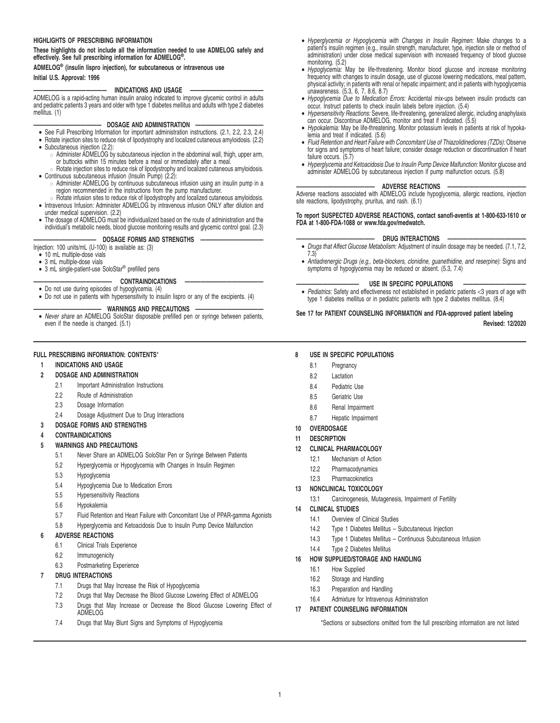#### **HIGHLIGHTS OF PRESCRIBING INFORMATION**

**These highlights do not include all the information needed to use ADMELOG safely and effectively. See full prescribing information for ADMELOG® .**

**ADMELOG® (insulin lispro injection), for subcutaneous or intravenous use Initial U.S. Approval: 1996**

### - INDICATIONS AND USAGE

ADMELOG is a rapid-acting human insulin analog indicated to improve glycemic control in adults and pediatric patients 3 years and older with type 1 diabetes mellitus and adults with type 2 diabetes mellitus. (1)

#### **————————————— DOSAGE AND ADMINISTRATION —————————————**

- See Full Prescribing Information for important administration instructions. (2.1, 2.2, 2.3, 2.4)
- Rotate injection sites to reduce risk of lipodystrophy and localized cutaneous amyloidosis. (2.2) • Subcutaneous injection (2.2):
	- Administer ADMELOG by subcutaneous injection in the abdominal wall, thigh, upper arm, or buttocks within 15 minutes before a meal or immediately after a meal. " Rotate injection sites to reduce risk of lipodystrophy and localized cutaneous amyloidosis.
- Continuous subcutaneous infusion (Insulin Pump) (2.2):
	- " Administer ADMELOG by continuous subcutaneous infusion using an insulin pump in a region recommended in the instructions from the pump manufacturer.
- " Rotate infusion sites to reduce risk of lipodystrophy and localized cutaneous amyloidosis. Intravenous Infusion: Administer ADMELOG by intravenous infusion ONLY after dilution and under medical supervision. (2.2)
- The dosage of ADMELOG must be individualized based on the route of administration and the individual's metabolic needs, blood glucose monitoring results and glycemic control goal. (2.3)

# **DOSAGE FORMS AND STRENGTHS -**

Injection: 100 units/mL (U-100) is available as: (3)

- 10 mL multiple-dose vials
- 3 mL multiple-dose vials
- 3 mL single-patient-use SoloStar® prefilled pens

#### $CONTRAINDICATIONS$

- Do not use during episodes of hypoglycemia. (4)
- Do not use in patients with hypersensitivity to insulin lispro or any of the excipients. (4)

**————————————— WARNINGS AND PRECAUTIONS —————————————** • Never share an ADMELOG SoloStar disposable prefilled pen or syringe between patients, even if the needle is changed. (5.1)

### **FULL PRESCRIBING INFORMATION: CONTENTS**\*

**1 INDICATIONS AND USAGE**

### **2 DOSAGE AND ADMINISTRATION**

- 2.1 Important Administration Instructions
- 2.2 Route of Administration
- 2.3 Dosage Information
- 2.4 Dosage Adjustment Due to Drug Interactions
- **3 DOSAGE FORMS AND STRENGTHS**

#### **4 CONTRAINDICATIONS**

- **5 WARNINGS AND PRECAUTIONS**
	- 5.1 Never Share an ADMELOG SoloStar Pen or Syringe Between Patients
	- 5.2 Hyperglycemia or Hypoglycemia with Changes in Insulin Regimen
	- 5.3 Hypoglycemia
	- 5.4 Hypoglycemia Due to Medication Errors
	- 5.5 Hypersensitivity Reactions
	- 5.6 Hypokalemia
	- 5.7 Fluid Retention and Heart Failure with Concomitant Use of PPAR-gamma Agonists
	- 5.8 Hyperglycemia and Ketoacidosis Due to Insulin Pump Device Malfunction

#### **6 ADVERSE REACTIONS**

- 6.1 Clinical Trials Experience
- 6.2 Immunogenicity
- 6.3 Postmarketing Experience

### **7 DRUG INTERACTIONS**

- 7.1 Drugs that May Increase the Risk of Hypoglycemia
- 7.2 Drugs that May Decrease the Blood Glucose Lowering Effect of ADMELOG
- 7.3 Drugs that May Increase or Decrease the Blood Glucose Lowering Effect of ADMELOG
- 7.4 Drugs that May Blunt Signs and Symptoms of Hypoglycemia
- Hyperglycemia or Hypoglycemia with Changes in Insulin Regimen: Make changes to a patient's insulin regimen (e.g., insulin strength, manufacturer, type, injection site or method of administration) under close medical supervision with increased frequency of blood glucose
- monitoring. (5.2) Hypoglycemia: May be life-threatening. Monitor blood glucose and increase monitoring frequency with changes to insulin dosage, use of glucose lowering medications, meal pattern, physical activity; in patients with renal or hepatic impairment; and in patients with hypoglycemia unawareness. (5.3, 6, 7, 8.6, 8.7)
- Hypoglycemia Due to Medication Errors: Accidental mix-ups between insulin products can occur. Instruct patients to check insulin labels before injection. (5.4)
- Hypersensitivity Reactions: Severe, life-threatening, generalized allergic, including anaphylaxis can occur. Discontinue ADMELOG, monitor and treat if indicated. (5.5)
- Hypokalemia: May be life-threatening. Monitor potassium levels in patients at risk of hypokalemia and treat if indicated. (5.6)
- Fluid Retention and Heart Failure with Concomitant Use of Thiazolidinediones (TZDs): Observe for signs and symptoms of heart failure; consider dosage reduction or discontinuation if heart failure occurs. (5.7)
- Hyperglycemia and Ketoacidosis Due to Insulin Pump Device Malfunction: Monitor glucose and administer ADMELOG by subcutaneous injection if pump malfunction occurs. (5.8)

#### **——————————————— ADVERSE REACTIONS ———————————————**

Adverse reactions associated with ADMELOG include hypoglycemia, allergic reactions, injection site reactions, lipodystrophy, pruritus, and rash. (6.1)

# **To report SUSPECTED ADVERSE REACTIONS, contact sanofi-aventis at 1-800-633-1610 or FDA at 1-800-FDA-1088 or www.fda.gov/medwatch.**

- **——————————————— DRUG INTERACTIONS ———————————————** Drugs that Affect Glucose Metabolism: Adjustment of insulin dosage may be needed. (7.1, 7.2, 7.3)
- Antiadrenergic Drugs (e.g., beta-blockers, clonidine, guanethidine, and reserpine): Signs and symptoms of hypoglycemia may be reduced or absent. (5.3, 7.4)

#### USE IN SPECIFIC POPULATIONS

• Pediatrics: Safety and effectiveness not established in pediatric patients <3 years of age with type 1 diabetes mellitus or in pediatric patients with type 2 diabetes mellitus. (8.4)

#### **See 17 for PATIENT COUNSELING INFORMATION and FDA-approved patient labeling Revised: 12/2020**

#### **8 USE IN SPECIFIC POPULATIONS**

- 8.1 Pregnancy
- 8.2 Lactation
- 8.4 Pediatric Use
- 8.5 Geriatric Use
- 8.6 Renal Impairment
- 8.7 Hepatic Impairment
- **10 OVERDOSAGE**
- **11 DESCRIPTION**

### **12 CLINICAL PHARMACOLOGY**

- 12.1 Mechanism of Action
- 12.2 Pharmacodynamics
- 12.3 Pharmacokinetics

#### **13 NONCLINICAL TOXICOLOGY**

13.1 Carcinogenesis, Mutagenesis, Impairment of Fertility

### **14 CLINICAL STUDIES**

- 14.1 Overview of Clinical Studies
- 14.2 Type 1 Diabetes Mellitus Subcutaneous Injection
- 14.3 Type 1 Diabetes Mellitus Continuous Subcutaneous Infusion
- 14.4 Type 2 Diabetes Mellitus

### **16 HOW SUPPLIED/STORAGE AND HANDLING**

- 16.1 How Supplied
- 16.2 Storage and Handling
- 16.3 Preparation and Handling
- 16.4 Admixture for Intravenous Administration

## **17 PATIENT COUNSELING INFORMATION**

\*Sections or subsections omitted from the full prescribing information are not listed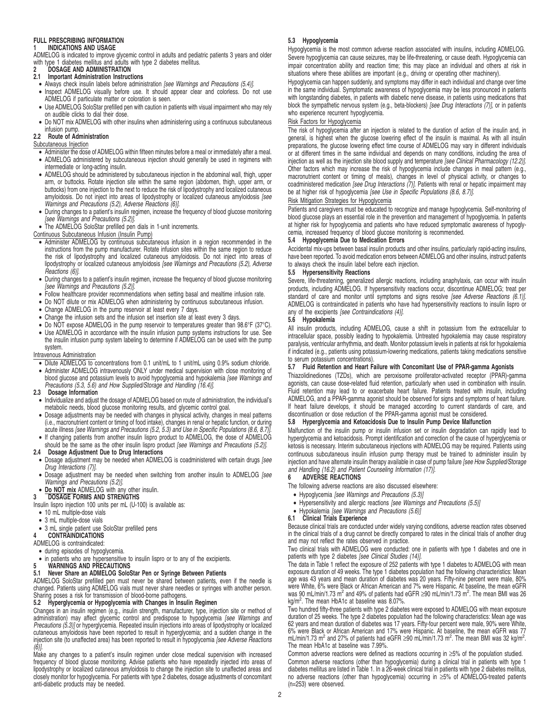#### **FULL PRESCRIBING INFORMATION 1 INDICATIONS AND USAGE**

ADMELOG is indicated to improve glycemic control in adults and pediatric patients 3 years and older with type 1 diabetes mellitus and adults with type 2 diabetes mellitus.

# **2** DOSAGE AND ADMINISTRATION<br>2.1 Important Administration Instruct

- **2.1 Important Administration Instructions**
- Always check insulin labels before administration [see Warnings and Precautions (5.4)].
- Inspect ADMELOG visually before use. It should appear clear and colorless. Do not use ADMELOG if particulate matter or coloration is seen.
- Use ADMELOG SoloStar prefilled pen with caution in patients with visual impairment who may rely on audible clicks to dial their dose.
- Do NOT mix ADMELOG with other insulins when administering using a continuous subcutaneous infusion pump.

# **2.2 Route of Administration**

- Subcutaneous Injection
- Administer the dose of ADMELOG within fifteen minutes before a meal or immediately after a meal.
- ADMELOG administered by subcutaneous injection should generally be used in regimens with intermediate or long-acting insulin.
- ADMELOG should be administered by subcutaneous injection in the abdominal wall, thigh, upper arm, or buttocks. Rotate injection site within the same region (abdomen, thigh, upper arm, or buttocks) from one injection to the next to reduce the risk of lipodystrophy and localized cutaneous amyloidosis. Do not inject into areas of lipodystrophy or localized cutaneous amyloidosis [see Warnings and Precautions (5.2), Adverse Reactions (6)].
- During changes to a patient's insulin regimen, increase the frequency of blood glucose monitoring [see Warnings and Precautions (5.2)].
- The ADMELOG SoloStar prefilled pen dials in 1-unit increments.

#### Continuous Subcutaneous Infusion (Insulin Pump)

- Administer ADMELOG by continuous subcutaneous infusion in a region recommended in the instructions from the pump manufacturer. Rotate infusion sites within the same region to reduce the risk of lipodystrophy and localized cutaneous amyloidosis. Do not inject into areas of<br>lipodystrophy or localized cutaneous amyloidosis [see Warnings and Precautions (5.2), Adverse Reactions (6)].
- During changes to a patient's insulin regimen, increase the frequency of blood glucose monitoring [see Warnings and Precautions (5.2)].
- Follow healthcare provider recommendations when setting basal and mealtime infusion rate.
- Do NOT dilute or mix ADMELOG when administering by continuous subcutaneous infusion.
- Change ADMELOG in the pump reservoir at least every 7 days.
- Change the infusion sets and the infusion set insertion site at least every 3 days.
- Do NOT expose ADMELOG in the pump reservoir to temperatures greater than 98.6°F (37°C).
- Use ADMELOG in accordance with the insulin infusion pump systems instructions for use. See the insulin infusion pump system labeling to determine if ADMELOG can be used with the pump system.

#### Intravenous Administration

- Dilute ADMELOG to concentrations from 0.1 unit/mL to 1 unit/mL using 0.9% sodium chloride.
- Administer ADMELOG intravenously ONLY under medical supervision with close monitoring of blood glucose and potassium levels to avoid hypoglycemia and hypokalemia [see Warnings and Precautions (5.3, 5.6) and How Supplied/Storage and Handling (16.4)].

#### **2.3 Dosage Information**

- Individualize and adjust the dosage of ADMELOG based on route of administration, the individual's metabolic needs, blood glucose monitoring results, and glycemic control goal.
- Dosage adjustments may be needed with changes in physical activity, changes in meal patterns (i.e., macronutrient content or timing of food intake), changes in renal or hepatic function, or during<br>acute illness *[see Warnings and Precautions (5.2, 5.3) and Use in Specific Populations (8.6, 8.7)]*. • If changing patients from another insulin lispro product to ADMELOG, the dose of ADMELOG
- should be the same as the other insulin lispro product [see Warnings and Precautions (5.2)].

## **2.4 Dosage Adjustment Due to Drug Interactions**

- Dosage adjustment may be needed when ADMELOG is coadministered with certain drugs [see Drug Interactions (7)].
- Dosage adjustment may be needed when switching from another insulin to ADMELOG [see Warnings and Precautions (5.2)].
- **Do NOT mix** ADMELOG with any other insulin.

#### **3 DOSAGE FORMS AND STRENGTHS**

Insulin lispro injection 100 units per mL (U-100) is available as:

- 10 mL multiple-dose vials
- 3 mL multiple-dose vials
- 3 mL single patient use SoloStar prefilled pens
- **4 CONTRAINDICATIONS**
- ADMELOG is contraindicated:
- during episodes of hypoglycemia.
- in patients who are hypersensitive to insulin lispro or to any of the excipients. **5 WARNINGS AND PRECAUTIONS**

## **5.1 Never Share an ADMELOG SoloStar Pen or Syringe Between Patients**

ADMELOG SoloStar prefilled pen must never be shared between patients, even if the needle is changed. Patients using ADMELOG vials must never share needles or syringes with another person. Sharing poses a risk for transmission of blood-borne pathogens.

# **5.2 Hyperglycemia or Hypoglycemia with Changes in Insulin Regimen**

Changes in an insulin regimen (e.g., insulin strength, manufacturer, type, injection site or method of<br>administration) may affect glycemic control and predispose to hypoglycemia *[see Warnings and* Precautions (5.3)] or hyperglycemia. Repeated insulin injections into areas of lipodystrophy or localized cutaneous amyloidosis have been reported to result in hyperglycemia; and a sudden change in the injection site (to unaffected area) has been reported to result in hypoglycemia [see Adverse Reactions (6)].

Make any changes to a patient's insulin regimen under close medical supervision with increased frequency of blood glucose monitoring. Advise patients who have repeatedly injected into areas of lipodystrophy or localized cutaneous amyloidosis to change the injection site to unaffected areas and closely monitor for hypoglycemia. For patients with type 2 diabetes, dosage adjustments of concomitant anti-diabetic products may be needed.

#### **5.3 Hypoglycemia**

Hypoglycemia is the most common adverse reaction associated with insulins, including ADMELOG. Severe hypoglycemia can cause seizures, may be life-threatening, or cause death. Hypoglycemia can impair concentration ability and reaction time; this may place an individual and others at risk in situations where these abilities are important (e.g., driving or operating other machinery).

Hypoglycemia can happen suddenly, and symptoms may differ in each individual and change over time in the same individual. Symptomatic awareness of hypoglycemia may be less pronounced in patients with longstanding diabetes, in patients with diabetic nerve disease, in patients using medications that block the sympathetic nervous system (e.g., beta-blockers) [see Drug Interactions (7)], or in patients who experience recurrent hypoglycemia.

### Risk Factors for Hypoglycemia

The risk of hypoglycemia after an injection is related to the duration of action of the insulin and, in general, is highest when the glucose lowering effect of the insulin is maximal. As with all insulin preparations, the glucose lowering effect time course of ADMELOG may vary in different individuals or at different times in the same individual and depends on many conditions, including the area of injection as well as the injection site blood supply and temperature [see Clinical Pharmacology (12.2)]. Other factors which may increase the risk of hypoglycemia include changes in meal pattern (e.g., macronutrient content or timing of meals), changes in level of physical activity, or changes to coadministered medication [see Drug Interactions (7)]. Patients with renal or hepatic impairment may be at higher risk of hypoglycemia [see Use in Specific Populations (8.6, 8.7)].

# Risk Mitigation Strategies for Hypoglycemia

Patients and caregivers must be educated to recognize and manage hypoglycemia. Self-monitoring of blood glucose plays an essential role in the prevention and management of hypoglycemia. In patients at higher risk for hypoglycemia and patients who have reduced symptomatic awareness of hypoglycemia, increased frequency of blood glucose monitoring is recommended.

#### **5.4 Hypoglycemia Due to Medication Errors**

Accidental mix-ups between basal insulin products and other insulins, particularly rapid-acting insulins, have been reported. To avoid medication errors between ADMELOG and other insulins, instruct patients to always check the insulin label before each injection.

#### **5.5 Hypersensitivity Reactions**

Severe, life-threatening, generalized allergic reactions, including anaphylaxis, can occur with insulin products, including ADMELOG. If hypersensitivity reactions occur, discontinue ADMELOG; treat per standard of care and monitor until symptoms and signs resolve [see Adverse Reactions (6.1)]. ADMELOG is contraindicated in patients who have had hypersensitivity reactions to insulin lispro or any of the excipients [see Contraindications (4)].

#### **5.6 Hypokalemia**

All insulin products, including ADMELOG, cause a shift in potassium from the extracellular to intracellular space, possibly leading to hypokalemia. Untreated hypokalemia may cause respiratory paralysis, ventricular arrhythmia, and death. Monitor potassium levels in patients at risk for hypokalemia if indicated (e.g., patients using potassium-lowering medications, patients taking medications sensitive to serum potassium concentrations).

### **5.7 Fluid Retention and Heart Failure with Concomitant Use of PPAR-gamma Agonists**

Thiazolidinediones (TZDs), which are peroxisome proliferator-activated receptor (PPAR)-gamma agonists, can cause dose-related fluid retention, particularly when used in combination with insulin. Fluid retention may lead to or exacerbate heart failure. Patients treated with insulin, including ADMELOG, and a PPAR-gamma agonist should be observed for signs and symptoms of heart failure. If heart failure develops, it should be managed according to current standards of care, and discontinuation or dose reduction of the PPAR-gamma agonist must be considered.

# **5.8 Hyperglycemia and Ketoacidosis Due to Insulin Pump Device Malfunction**

Malfunction of the insulin pump or insulin infusion set or insulin degradation can rapidly lead to hyperglycemia and ketoacidosis. Prompt identification and correction of the cause of hyperglycemia or ketosis is necessary. Interim subcutaneous injections with ADMELOG may be required. Patients using continuous subcutaneous insulin infusion pump therapy must be trained to administer insulin by injection and have alternate insulin therapy available in case of pump failure [see How Supplied/Storage and Handling (16.2) and Patient Counseling Information (17)].

#### **6 ADVERSE REACTIONS**

- The following adverse reactions are also discussed elsewhere:
- Hypoglycemia [see Warnings and Precautions (5.3)]
- Hypersensitivity and allergic reactions [see Warnings and Precautions (5.5)]
- Hypokalemia [see Warnings and Precautions  $(5.6)$ ]

### **6.1 Clinical Trials Experience**

Because clinical trials are conducted under widely varying conditions, adverse reaction rates observed in the clinical trials of a drug cannot be directly compared to rates in the clinical trials of another drug and may not reflect the rates observed in practice.

Two clinical trials with ADMELOG were conducted: one in patients with type 1 diabetes and one in patients with type 2 diabetes [see Clinical Studies (14)].

The data in Table 1 reflect the exposure of 252 patients with type 1 diabetes to ADMELOG with mean exposure duration of 49 weeks. The type 1 diabetes population had the following characteristics: Mean age was 43 years and mean duration of diabetes was 20 years. Fifty-nine percent were male, 80% were White, 6% were Black or African American and 7% were Hispanic. At baseline, the mean eGFR was 90 mL/min/1.73 m<sup>2</sup> and 49% of patients had eGFR ≥90 mL/min/1.73 m<sup>2</sup>. The mean BMI was 26 kg/m<sup>2</sup>. The mean HbA1c at baseline was 8.07%.

Two hundred fifty-three patients with type 2 diabetes were exposed to ADMELOG with mean exposure duration of 25 weeks. The type 2 diabetes population had the following characteristics: Mean age was 62 years and mean duration of diabetes was 17 years. Fifty-four percent were male, 90% were White, 6% were Black or African American and 17% were Hispanic. At baseline, the mean eGFR was 77 mL/min/1.73 m<sup>2</sup> and 27% of patients had eGFR ≥90 mL/min/1.73 m<sup>2</sup>. The mean BMI was 32 kg/m<sup>2</sup>. The mean HbA1c at baseline was 7.99%.

Common adverse reactions were defined as reactions occurring in ≥5% of the population studied. Common adverse reactions (other than hypoglycemia) during a clinical trial in patients with type 1 diabetes mellitus are listed in Table 1. In a 26-week clinical trial in patients with type 2 diabetes mellitus, no adverse reactions (other than hypoglycemia) occurring in ≥5% of ADMELOG-treated patients (n=253) were observed.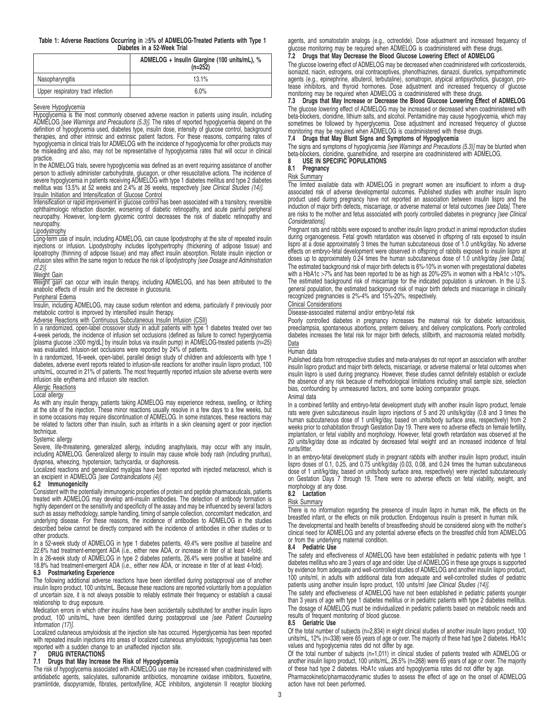#### **Table 1: Adverse Reactions Occurring in** ≥**5% of ADMELOG-Treated Patients with Type 1 Diabetes in a 52-Week Trial**

|                                   | ADMELOG + Insulin Glargine (100 units/mL), %<br>$(n=252)$ |
|-----------------------------------|-----------------------------------------------------------|
| Nasopharyngitis                   | 13.1%                                                     |
| Upper respiratory tract infection | 6.0%                                                      |

# Severe Hypoglycemia

Hypoglycemia is the most commonly observed adverse reaction in patients using insulin, including ADMELOG [see Warnings and Precautions (5.3)]. The rates of reported hypoglycemia depend on the definition of hypoglycemia used, diabetes type, insulin dose, intensity of glucose control, background therapies, and other intrinsic and extrinsic patient factors. For these reasons, comparing rates of hypoglycemia in clinical trials for ADMELOG with the incidence of hypoglycemia for other products may be misleading and also, may not be representative of hypoglycemia rates that will occur in clinical practice.

In the ADMELOG trials, severe hypoglycemia was defined as an event requiring assistance of another person to actively administer carbohydrate, glucagon, or other resuscitative actions. The incidence of severe hypoglycemia in patients receiving ADMELOG with type 1 diabetes mellitus and type 2 diabetes mellitus was 13.5% at 52 weeks and 2.4% at 26 weeks, respectively [see Clinical Studies (14)]. Insulin Initiation and Intensification of Glucose Control

# Intensification or rapid improvement in glucose control has been associated with a transitory, reversible ophthalmologic refraction disorder, worsening of diabetic retinopathy, and acute painful peripheral

neuropathy. However, long-term glycemic control decreases the risk of diabetic retinopathy and neuropathy. Lipodystrophy

# Long-term use of insulin, including ADMELOG, can cause lipodystrophy at the site of repeated insulin injections or infusion. Lipodystrophy includes lipohypertrophy (thickening of adipose tissue) and lipoatrophy (thinning of adipose tissue) and may affect insulin absorption. Rotate insulin injection or infusion sites within the same region to reduce the risk of lipodystrophy [see Dosage and Administration  $(2.2)$ ].

# Weight Gain

Weight gain can occur with insulin therapy, including ADMELOG, and has been attributed to the anabolic effects of insulin and the decrease in glucosuria.

#### Peripheral Edema

Insulin, including ADMELOG, may cause sodium retention and edema, particularly if previously poor metabolic control is improved by intensified insulin therapy.

#### Adverse Reactions with Continuous Subcutaneous Insulin Infusion (CSII)

In a randomized, open-label crossover study in adult patients with type 1 diabetes treated over two 4-week periods, the incidence of infusion set occlusions (defined as failure to correct hyperglycemia [plasma glucose ≥300 mg/dL] by insulin bolus via insulin pump) in ADMELOG-treated patients (n=25) was evaluated. Infusion-set occlusions were reported by 24% of patients.

In a randomized, 16-week, open-label, parallel design study of children and adolescents with type 1 diabetes, adverse event reports related to infusion-site reactions for another insulin lispro product, 100 units/mL, occurred in 21% of patients. The most frequently reported infusion site adverse events were infusion site erythema and infusion site reaction.

#### Allergic Reactions

Local allergy

As with any insulin therapy, patients taking ADMELOG may experience redness, swelling, or itching at the site of the injection. These minor reactions usually resolve in a few days to a few weeks, but in some occasions may require discontinuation of ADMELOG. In some instances, these reactions may be related to factors other than insulin, such as irritants in a skin cleansing agent or poor injection technique.

#### Systemic allergy

Severe, life-threatening, generalized allergy, including anaphylaxis, may occur with any insulin, including ADMELOG. Generalized allergy to insulin may cause whole body rash (including pruritus), dyspnea, wheezing, hypotension, tachycardia, or diaphoresis.

Localized reactions and generalized myalgias have been reported with injected metacresol, which is an excipient in ADMELOG [see Contraindications (4)].

#### **6.2 Immunogenicity**

Consistent with the potentially immunogenic properties of protein and peptide pharmaceuticals, patients treated with ADMELOG may develop anti-insulin antibodies. The detection of antibody formation is highly dependent on the sensitivity and specificity of the assay and may be influenced by several factors such as assay methodology, sample handling, timing of sample collection, concomitant medication, and underlying disease. For these reasons, the incidence of antibodies to ADMELOG in the studies described below cannot be directly compared with the incidence of antibodies in other studies or to other products.

In a 52-week study of ADMELOG in type 1 diabetes patients, 49.4% were positive at baseline and 22.6% had treatment-emergent ADA (i.e., either new ADA, or increase in titer of at least 4-fold).

In a 26-week study of ADMELOG in type 2 diabetes patients, 26.4% were positive at baseline and 18.8% had treatment-emergent ADA (i.e., either new ADA, or increase in titer of at least 4-fold).

#### **6.3 Postmarketing Experience**

The following additional adverse reactions have been identified during postapproval use of another insulin lispro product, 100 units/mL. Because these reactions are reported voluntarily from a population of uncertain size, it is not always possible to reliably estimate their frequency or establish a causal relationship to drug exposure.

Medication errors in which other insulins have been accidentally substituted for another insulin lispro product, 100 units/mL, have been identified during postapproval use [see Patient Counseling Information (17)].

Localized cutaneous amyloidosis at the injection site has occurred. Hyperglycemia has been reported with repeated insulin injections into areas of localized cutaneous amyloidosis; hypoglycemia has been reported with a sudden change to an unaffected injection site. **7 DRUG INTERACTIONS**

# **7.1 Drugs that May Increase the Risk of Hypoglycemia**

The risk of hypoglycemia associated with ADMELOG use may be increased when coadministered with antidiabetic agents, salicylates, sulfonamide antibiotics, monoamine oxidase inhibitors, fluoxetine, pramlintide, disopyramide, fibrates, pentoxifylline, ACE inhibitors, angiotensin II receptor blocking agents, and somatostatin analogs (e.g., octreotide). Dose adjustment and increased frequency of glucose monitoring may be required when ADMELOG is coadministered with these drugs.

# **7.2 Drugs that May Decrease the Blood Glucose Lowering Effect of ADMELOG**

The glucose lowering effect of ADMELOG may be decreased when coadministered with corticosteroids, isoniazid, niacin, estrogens, oral contraceptives, phenothiazines, danazol, diuretics, sympathomimetic agents (e.g., epinephrine, albuterol, terbutaline), somatropin, atypical antipsychotics, glucagon, protease inhibitors, and thyroid hormones. Dose adjustment and increased frequency of glucose monitoring may be required when ADMELOG is coadministered with these drugs.

### **7.3 Drugs that May Increase or Decrease the Blood Glucose Lowering Effect of ADMELOG**

The glucose lowering effect of ADMELOG may be increased or decreased when coadministered with beta-blockers, clonidine, lithium salts, and alcohol. Pentamidine may cause hypoglycemia, which may<br>sometimes be followed by hyperglycemia. Dose adjustment and increased frequency of glucose<br>monitoring may be required when

### **7.4 Drugs that May Blunt Signs and Symptoms of Hypoglycemia**

The signs and symptoms of hypoglycemia *[see Warnings and Precautions (5.3)]* may be blunted when<br>beta-blockers, clonidine, guanethidine, and reserpine are coadministered with ADMELOG.

#### 8 USE IN SPECIFIC POPULATIONS<br>8.1 Pregnancy **8.1 Pregnancy**

# Risk Summary

The limited available data with ADMELOG in pregnant women are insufficient to inform a drugassociated risk of adverse developmental outcomes. Published studies with another insulin lispro product used during pregnancy have not reported an association between insulin lispro and the induction of major birth defects, miscarriage, or adverse maternal or fetal outcomes [see Data]. There are risks to the mother and fetus associated with poorly controlled diabetes in pregnancy [see Clinical Considerations].

Pregnant rats and rabbits were exposed to another insulin lispro product in animal reproduction studies<br>during organogenesis. Fetal growth retardation was observed in offspring of rats exposed to insulin<br>lispro at a dose a effects on embryo-fetal development were observed in offspring of rabbits exposed to insulin lispro at<br>doses up to approximately 0.24 times the human subcutaneous dose of 1.0 unit/kg/day *[see Data].* The estimated background risk of major birth defects is 6%-10% in women with pregestational diabetes with a HbA1c >7% and has been reported to be as high as 20%-25% in women with a HbA1c >10%. The estimated background risk of miscarriage for the indicated population is unknown. In the U.S. general population, the estimated background risk of major birth defects and miscarriage in clinically recognized pregnancies is 2%-4% and 15%-20%, respectively.

# Clinical Considerations

Disease-associated maternal and/or embryo-fetal risk

Poorly controlled diabetes in pregnancy increases the maternal risk for diabetic ketoacidosis, preeclampsia, spontaneous abortions, preterm delivery, and delivery complications. Poorly controlled diabetes increases the fetal risk for major birth defects, stillbirth, and macrosomia related morbidity. Data

#### Human data

Published data from retrospective studies and meta-analyses do not report an association with another insulin lispro product and major birth defects, miscarriage, or adverse maternal or fetal outcomes when insulin lispro is used during pregnancy. However, these studies cannot definitely establish or exclude the absence of any risk because of methodological limitations including small sample size, selection bias, confounding by unmeasured factors, and some lacking comparator groups.

### Animal data

In a combined fertility and embryo-fetal development study with another insulin lispro product, female rats were given subcutaneous insulin lispro injections of 5 and 20 units/kg/day (0.8 and 3 times the human subcutaneous dose of 1 unit/kg/day, based on units/body surface area, respectively) from 2 weeks prior to cohabitation through Gestation Day 19. There were no adverse effects on female fertility, implantation, or fetal viability and morphology. However, fetal growth retardation was observed at the 20 units/kg/day dose as indicated by decreased fetal weight and an increased incidence of fetal runts/litter.

In an embryo-fetal development study in pregnant rabbits with another insulin lispro product, insulin lispro doses of 0.1, 0.25, and 0.75 unit/kg/day (0.03, 0.08, and 0.24 times the human subcutaneous dose of 1 unit/kg/day, based on units/body surface area, respectively) were injected subcutaneously on Gestation Days 7 through 19. There were no adverse effects on fetal viability, weight, and morphology at any dose.

## **8.2 Lactation**

### Risk Summary

There is no information regarding the presence of insulin lispro in human milk, the effects on the breastfed infant, or the effects on milk production. Endogenous insulin is present in human milk.

The developmental and health benefits of breastfeeding should be considered along with the mother's clinical need for ADMELOG and any potential adverse effects on the breastfed child from ADMELOG or from the underlying maternal condition.

### **8.4 Pediatric Use**

The safety and effectiveness of ADMELOG have been established in pediatric patients with type 1 diabetes mellitus who are 3 years of age and older. Use of ADMELOG in these age groups is supported by evidence from adequate and well-controlled studies of ADMELOG and another insulin lispro product, 100 units/ml, in adults with additional data from adequate and well-controlled studies of pediatric patients using another insulin lispro product, 100 units/ml [see Clinical Studies (14)].

The safety and effectiveness of ADMELOG have not been established in pediatric patients younger than 3 years of age with type 1 diabetes mellitus or in pediatric patients with type 2 diabetes mellitus. The dosage of ADMELOG must be individualized in pediatric patients based on metabolic needs and results of frequent monitoring of blood glucose.

#### **8.5 Geriatric Use**

Of the total number of subjects (n=2,834) in eight clinical studies of another insulin lispro product, 100 units/mL, 12% (n=338) were 65 years of age or over. The majority of these had type 2 diabetes. HbA1c values and hypoglycemia rates did not differ by age.

Of the total number of subjects (n=1,011) in clinical studies of patients treated with ADMELOG or another insulin lispro product, 100 units/mL, 26.5% (n=268) were 65 years of age or over. The majority of these had type 2 diabetes. HbA1c values and hypoglycemia rates did not differ by age.

Pharmacokinetic/pharmacodynamic studies to assess the effect of age on the onset of ADMELOG action have not been performed.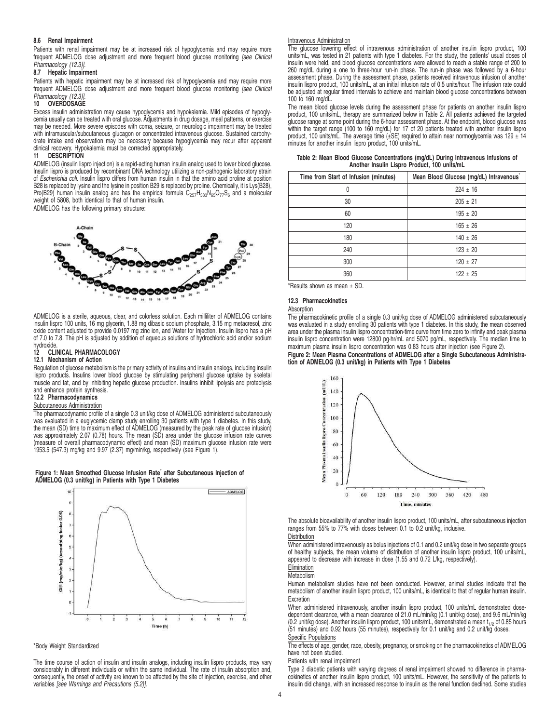#### **8.6 Renal Impairment**

Patients with renal impairment may be at increased risk of hypoglycemia and may require more frequent ADMELOG dose adjustment and more frequent blood glucose monitoring [see Clinical Pharmacology (12.3)].

#### **8.7 Hepatic Impairment**

Patients with hepatic impairment may be at increased risk of hypoglycemia and may require more frequent ADMELOG dose adjustment and more frequent blood glucose monitoring [see Clinical Pharmacology (12.3)]. **10 OVERDOSAGE**

Excess insulin administration may cause hypoglycemia and hypokalemia. Mild episodes of hypogly-<br>cemia usually can be treated with oral glucose. Adjustments in drug dosage, meal patterns, or exercise<br>may be needed. More sev with intramuscular/subcutaneous glucagon or concentrated intravenous glucose. Sustained carbohydrate intake and observation may be necessary because hypoglycemia may recur after apparent clinical recovery. Hypokalemia must be corrected appropriately.

### **11 DESCRIPTION**

ADMELOG (insulin lispro injection) is a rapid-acting human insulin analog used to lower blood glucose. Insulin lispro is produced by recombinant DNA technology utilizing a non-pathogenic laboratory strain<br>of *Escherichia coli.* Insulin lispro differs from human insulin in that the amino acid proline at position B28 is replaced by lysine and the lysine in position B29 is replaced by proline. Chemically, it is Lys(B28), Pro(B29) human insulin analog and has the empirical formula C<sub>257</sub>H<sub>383</sub>N<sub>65</sub>O<sub>77</sub>S<sub>6</sub> and a molecular<br>weight of 5808, both identical to that of human insulin. ADMELOG has the following primary structure:



ADMELOG is a sterile, aqueous, clear, and colorless solution. Each milliliter of ADMELOG contains insulin lispro 100 units, 16 mg glycerin, 1.88 mg dibasic sodium phosphate, 3.15 mg metacresol, zinc oxide content adjusted to provide 0.0197 mg zinc ion, and Water for Injection. Insulin lispro has a pH of 7.0 to 7.8. The pH is adjusted by addition of aqueous solutions of hydrochloric acid and/or sodium hydroxide.

### **12 CLINICAL PHARMACOLOGY**

### **12.1 Mechanism of Action**

Regulation of glucose metabolism is the primary activity of insulins and insulin analogs, including insulin lispro products. Insulins lower blood glucose by stimulating peripheral glucose uptake by skeletal muscle and fat, and by inhibiting hepatic glucose production. Insulins inhibit lipolysis and proteolysis and enhance protein synthesis.

# **12.2 Pharmacodynamics**

# Subcutaneous Administration

The pharmacodynamic profile of a single 0.3 unit/kg dose of ADMELOG administered subcutaneously was evaluated in a euglycemic clamp study enrolling 30 patients with type 1 diabetes. In this study, the mean (SD) time to maximum effect of ADMELOG (measured by the peak rate of glucose infusion) was approximately 2.07 (0.78) hours. The mean (SD) area under the glucose infusion rate curves (measure of overall pharmacodynamic effect) and mean (SD) maximum glucose infusion rate were 1953.5 (547.3) mg/kg and 9.97 (2.37) mg/min/kg, respectively (see Figure 1).





#### \*Body Weight Standardized

The time course of action of insulin and insulin analogs, including insulin lispro products, may vary considerably in different individuals or within the same individual. The rate of insulin absorption and, consequently, the onset of activity are known to be affected by the site of injection, exercise, and other variables [see Warnings and Precautions (5.2)].

#### Intravenous Administration

The glucose lowering effect of intravenous administration of another insulin lispro product, 100 units/mL, was tested in 21 patients with type 1 diabetes. For the study, the patients' usual doses of insulin were held, and blood glucose concentrations were allowed to reach a stable range of 200 to 260 mg/dL during a one to three-hour run-in phase. The run-in phase was followed by a 6-hour assessment phase. During the assessment phase, patients received intravenous infusion of another insulin lispro product, 100 units/mL, at an initial infusion rate of 0.5 units/hour. The infusion rate could be adjusted at regular timed intervals to achieve and maintain blood glucose concentrations between 100 to 160 mg/dL.

The mean blood glucose levels during the assessment phase for patients on another insulin lispro product, 100 units/mL, therapy are summarized below in Table 2. All patients achieved the targeted glucose range at some point during the 6-hour assessment phase. At the endpoint, blood glucose was within the target range (100 to 160 mg/dL) for 17 of 20 patients treated with another insulin lispro product, 100 units/mL. The average time (±SE) required to attain near normoglycemia was 129 ± 14 minutes for another insulin lispro product, 100 units/mL.

|  | Table 2: Mean Blood Glucose Concentrations (mg/dL) During Intravenous Infusions of |  |  |  |
|--|------------------------------------------------------------------------------------|--|--|--|
|  | Another Insulin Lispro Product, 100 units/mL                                       |  |  |  |

| Mean Blood Glucose (mg/dL) Intravenous |
|----------------------------------------|
| $224 \pm 16$                           |
| $205 \pm 21$                           |
| $195 \pm 20$                           |
| $165 \pm 26$                           |
| $140 \pm 26$                           |
| $123 \pm 20$                           |
| $120 \pm 27$                           |
| $122 \pm 25$                           |
|                                        |

\*Results shown as mean ± SD.

#### **12.3 Pharmacokinetics**

#### Absorption

The pharmacokinetic profile of a single 0.3 unit/kg dose of ADMELOG administered subcutaneously was evaluated in a study enrolling 30 patients with type 1 diabetes. In this study, the mean observed area under the plasma insulin lispro concentration-time curve from time zero to infinity and peak plasma insulin lispro concentration were 12800 pg·hr/mL and 5070 pg/mL, respectively. The median time to maximum plasma insulin lispro concentration was 0.83 hours after injection (see Figure 2).

#### **Figure 2: Mean Plasma Concentrations of ADMELOG after a Single Subcutaneous Administration of ADMELOG (0.3 unit/kg) in Patients with Type 1 Diabetes**



The absolute bioavailability of another insulin lispro product, 100 units/mL, after subcutaneous injection ranges from 55% to 77% with doses between 0.1 to 0.2 unit/kg, inclusive. **Distribution** 

When administered intravenously as bolus injections of 0.1 and 0.2 unit/kg dose in two separate groups of healthy subjects, the mean volume of distribution of another insulin lispro product, 100 units/mL, appeared to decrease with increase in dose (1.55 and 0.72 L/kg, respectively).

# Elimination

Metabolism

Human metabolism studies have not been conducted. However, animal studies indicate that the metabolism of another insulin lispro product, 100 units/mL, is identical to that of regular human insulin. **Excretion** 

When administered intravenously, another insulin lispro product, 100 units/mL demonstrated dosedependent clearance, with a mean clearance of 21.0 mL/min/kg (0.1 unit/kg dose), and 9.6 mL/min/kg<br>(0.2 unit/kg dose). Another insulin lispro product, 100 units/mL, demonstrated a mean t<sub>1/2</sub> of 0.85 hours (51 minutes) and 0.92 hours (55 minutes), respectively for 0.1 unit/kg and 0.2 unit/kg doses.

# Specific Populations

The effects of age, gender, race, obesity, pregnancy, or smoking on the pharmacokinetics of ADMELOG have not been studied.

#### Patients with renal impairment

Type 2 diabetic patients with varying degrees of renal impairment showed no difference in pharmacokinetics of another insulin lispro product, 100 units/mL. However, the sensitivity of the patients to insulin did change, with an increased response to insulin as the renal function declined. Some studies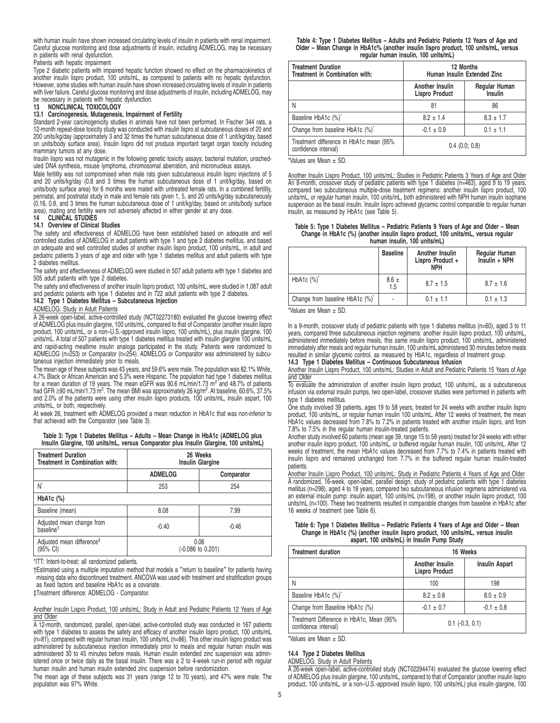with human insulin have shown increased circulating levels of insulin in patients with renal impairment. Careful glucose monitoring and dose adjustments of insulin, including ADMELOG, may be necessary in patients with renal dysfunction.

Patients with hepatic impairment

Type 2 diabetic patients with impaired hepatic function showed no effect on the pharmacokinetics of another insulin lispro product, 100 units/mL, as compared to patients with no hepatic dysfunction. However, some studies with human insulin have shown increased circulating levels of insulin in patients with liver failure. Careful glucose monitoring and dose adjustments of insulin, including ADMELOG, may be necessary in patients with hepatic dysfunction.

#### **13 NONCLINICAL TOXICOLOGY**

#### **13.1 Carcinogenesis, Mutagenesis, Impairment of Fertility**

Standard 2-year carcinogenicity studies in animals have not been performed. In Fischer 344 rats, a 12-month repeat-dose toxicity study was conducted with insulin lispro at subcutaneous doses of 20 and 200 units/kg/day (approximately 3 and 32 times the human subcutaneous dose of 1 unit/kg/day, based on units/body surface area). Insulin lispro did not produce important target organ toxicity including mammary tumors at any dose.

Insulin lispro was not mutagenic in the following genetic toxicity assays: bacterial mutation, unscheduled DNA synthesis, mouse lymphoma, chromosomal aberration, and micronucleus assays.

Male fertility was not compromised when male rats given subcutaneous insulin lispro injections of 5 and 20 units/kg/day (0.8 and 3 times the human subcutaneous dose of 1 unit/kg/day, based on units/body surface area) for 6 months were mated with untreated female rats. In a combined fertility, perinatal, and postnatal study in male and female rats given 1, 5, and 20 units/kg/day subcutaneously (0.16, 0.8, and 3 times the human subcutaneous dose of 1 unit/kg/day, based on units/body surface area), mating and fertility were not adversely affected in either gender at any dose.

# **14 CLINICAL STUDIES**

#### **14.1 Overview of Clinical Studies**

The safety and effectiveness of ADMELOG have been established based on adequate and well controlled studies of ADMELOG in adult patients with type 1 and type 2 diabetes mellitus, and based on adequate and well controlled studies of another insulin lispro product, 100 units/mL, in adult and pediatric patients 3 years of age and older with type 1 diabetes mellitus and adult patients with type 2 diabetes mellitus.

The safety and effectiveness of ADMELOG were studied in 507 adult patients with type 1 diabetes and 505 adult patients with type 2 diabetes.

The safety and effectiveness of another insulin lispro product, 100 units/mL, were studied in 1,087 adult and pediatric patients with type 1 diabetes and in 722 adult patients with type 2 diabetes. **14.2 Type 1 Diabetes Mellitus – Subcutaneous Injection**

#### ADMELOG: Study in Adult Patients

A 26-week open-label, active-controlled study (NCT02273180) evaluated the glucose lowering effect of ADMELOG plus insulin glargine, 100 units/mL, compared to that of Comparator (another insulin lispro product, 100 units/mL, or a non–U.S.-approved insulin lispro, 100 units/mL), plus insulin glargine, 100 units/mL. A total of 507 patients with type 1 diabetes mellitus treated with insulin glargine 100 units/mL and rapid-acting mealtime insulin analogs participated in the study. Patients were randomized to ADMELOG (n=253) or Comparator (n=254). ADMELOG or Comparator was administered by subcutaneous injection immediately prior to meals.

The mean age of these subjects was 43 years, and 59.6% were male. The population was 82.1% White, 4.7% Black or African American and 5.3% were Hispanic. The population had type 1 diabetes mellitus<br>for a mean duration of 19 years. The mean eGFR was 90.6 mL/min/1.73 m<sup>2</sup> and 48.7% of patients had GFR ≥90 mL/min/1.73 m<sup>2</sup>. The mean BMI was approximately 26 kg/m<sup>2</sup>. At baseline, 60.6%, 37.5% and 2.0% of the patients were using other insulin lispro products, 100 units/mL, insulin aspart, 100 units/mL, or both, respectively.

At week 26, treatment with ADMELOG provided a mean reduction in HbA1c that was non-inferior to that achieved with the Comparator (see Table 3).

#### **Table 3: Type 1 Diabetes Mellitus – Adults – Mean Change in HbA1c (ADMELOG plus Insulin Glargine, 100 units/mL, versus Comparator plus Insulin Glargine, 100 units/mL)**

| <b>Treatment Duration</b><br>Treatment in Combination with: | 26 Weeks<br><b>Insulin Glargine</b> |            |  |
|-------------------------------------------------------------|-------------------------------------|------------|--|
|                                                             | <b>ADMELOG</b>                      | Comparator |  |
| N                                                           | 253                                 | 254        |  |
| HbA <sub>1</sub> c $(\%)$                                   |                                     |            |  |
| Baseline (mean)                                             | 8.08                                | 7.99       |  |
| Adjusted mean change from<br>baseline <sup>†</sup>          | $-0.40$                             | $-0.46$    |  |
| Adjusted mean difference <sup>#</sup><br>(95% CI)           | 0.06<br>(-0.086 to 0.201)           |            |  |

\*ITT: Intent-to-treat; all randomized patients.

†Estimated using a multiple imputation method that models a ″return to baseline″ for patients having missing data who discontinued treatment. ANCOVA was used with treatment and stratification groups as fixed factors and baseline HbA1c as a covariate.

‡Treatment difference: ADMELOG - Comparator.

Another Insulin Lispro Product, 100 units/mL: Study in Adult and Pediatric Patients 12 Years of Age and Older

A 12-month, randomized, parallel, open-label, active-controlled study was conducted in 167 patients with type 1 diabetes to assess the safety and efficacy of another insulin lispro product, 100 units/mL (n=81), compared with regular human insulin, 100 units/mL (n=86). This other insulin lispro product was administered by subcutaneous injection immediately prior to meals and regular human insulin was administered 30 to 45 minutes before meals. Human insulin extended zinc suspension was admin-istered once or twice daily as the basal insulin. There was a 2 to 4-week run-in period with regular human insulin and human insulin extended zinc suspension before randomization.

The mean age of these subjects was 31 years (range 12 to 70 years), and 47% were male. The population was 97% White.

| Table 4: Type 1 Diabetes Mellitus - Adults and Pediatric Patients 12 Years of Age and |  |
|---------------------------------------------------------------------------------------|--|
| Older – Mean Change in HbA1c% (another insulin lispro product, 100 units/mL, versus   |  |
| regular human insulin, 100 units/mL)                                                  |  |

| <b>Treatment Duration</b><br>Treatment in Combination with:     | 12 Months<br>Human Insulin Extended Zinc |                          |
|-----------------------------------------------------------------|------------------------------------------|--------------------------|
|                                                                 | Another Insulin<br><b>Lispro Product</b> | Regular Human<br>Insulin |
|                                                                 | 81                                       | 86                       |
| Baseline HbA1c (%) <sup>*</sup>                                 | $8.2 \pm 1.4$                            | $8.3 \pm 1.7$            |
| Change from baseline HbA1c (%)*                                 | $-0.1 \pm 0.9$                           | $0.1 \pm 1.1$            |
| Treatment difference in HbA1c mean (95%<br>confidence interval) | $0.4$ (0.0; 0.8)                         |                          |

\*Values are Mean ± SD.

Another Insulin Lispro Product, 100 units/mL: Studies in Pediatric Patients 3 Years of Age and Older An 8-month, crossover study of pediatric patients with type 1 diabetes (n=463), aged 9 to 19 years, compared two subcutaneous multiple-dose treatment regimens: another insulin lispro product, 100 units/mL, or regular human insulin, 100 units/mL, both administered with NPH human insulin isophane suspension as the basal insulin. Insulin lispro achieved glycemic control comparable to regular human insulin, as measured by HbA1c (see Table 5).

#### **Table 5: Type 1 Diabetes Mellitus – Pediatric Patients 9 Years of Age and Older – Mean Change in HbA1c (%) (another insulin lispro product, 100 units/mL, versus regular human insulin, 100 units/mL)**

|                                 | <b>Baseline</b>  | Another Insulin<br>Lispro Product +<br><b>NPH</b> | <b>Regular Human</b><br>Insulin + NPH |  |
|---------------------------------|------------------|---------------------------------------------------|---------------------------------------|--|
| $HbA1c$ $(\%)^*$                | $8.6 \pm$<br>1.5 | $8.7 \pm 1.5$                                     | $8.7 \pm 1.6$                         |  |
| Change from baseline HbA1c (%)* | ٠                | $0.1 \pm 1.1$                                     | $0.1 \pm 1.3$                         |  |

\*Values are Mean ± SD.

In a 9-month, crossover study of pediatric patients with type 1 diabetes mellitus (n=60), aged 3 to 11 years, compared three subcutaneous injection regimens: another insulin lispro product, 100 units/mL, administered immediately before meals, this same insulin lispro product, 100 units/mL, administered immediately after meals and regular human insulin, 100 units/mL administered 30 minutes before meals resulted in similar glycemic control, as measured by HbA1c, regardless of treatment group.

**14.3 Type 1 Diabetes Mellitus – Continuous Subcutaneous Infusion**

Another Insulin Lispro Product, 100 units/mL: Studies in Adult and Pediatric Patients 15 Years of Age and Older

To evaluate the administration of another insulin lispro product, 100 units/mL, as a subcutaneous infusion via external insulin pumps, two open-label, crossover studies were performed in patients with type 1 diabetes mellitus.

One study involved 39 patients, ages 19 to 58 years, treated for 24 weeks with another insulin lispro product, 100 units/mL, or regular human insulin 100 units/mL. After 12 weeks of treatment, the mean HbA1c values decreased from 7.8% to 7.2% in patients treated with another insulin lispro, and from 7.8% to 7.5% in the regular human insulin-treated patients.

Another study involved 60 patients (mean age 39, range 15 to 58 years) treated for 24 weeks with either another insulin lispro product, 100 units/mL, or buffered regular human insulin, 100 units/mL. After 12 weeks of treatment, the mean HbA1c values decreased from 7.7% to 7.4% in patients treated with insulin lispro and remained unchanged from 7.7% in the buffered regular human insulin-treated patients.

Another Insulin Lispro Product, 100 units/mL: Study in Pediatric Patients 4 Years of Age and Older A randomized, 16-week, open-label, parallel design, study of pediatric patients with type 1 diabetes mellitus (n=298), aged 4 to 18 years, compared two subcutaneous infusion regimens administered via an external insulin pump: insulin aspart, 100 units/mL (n=198), or another insulin lispro product, 100 units/mL (n=100). These two treatments resulted in comparable changes from baseline in HbA1c after 16 weeks of treatment (see Table 6).

#### **Table 6: Type 1 Diabetes Mellitus – Pediatric Patients 4 Years of Age and Older – Mean Change in HbA1c (%) (another insulin lispro product, 100 units/mL, versus insulin aspart, 100 units/mL) in Insulin Pump Study**

| <b>Treatment duration</b>                                        | 16 Weeks                                 |                       |
|------------------------------------------------------------------|------------------------------------------|-----------------------|
|                                                                  | Another Insulin<br><b>Lispro Product</b> | <b>Insulin Aspart</b> |
|                                                                  | 100                                      | 198                   |
| Baseline HbA1c (%)*                                              | $8.2 \pm 0.8$                            | $8.0 \pm 0.9$         |
| Change from Baseline HbA1c (%)                                   | $-0.1 \pm 0.7$                           | $-0.1 \pm 0.8$        |
| Treatment Difference in HbA1c, Mean (95%<br>confidence interval) | $0.1$ ( $-0.3$ , $0.1$ )                 |                       |

\*Values are Mean ± SD.

# **14.4 Type 2 Diabetes Mellitus**

ADMELOG: Study in Adult Patients

A 26-week open-label, active-controlled study (NCT02294474) evaluated the glucose lowering effect of ADMELOG plus insulin glargine, 100 units/mL, compared to that of Comparator (another insulin lispro product, 100 units/mL, or a non-U.S.-approved insulin lispro, 100 units/mL) plus insulin glargine, 100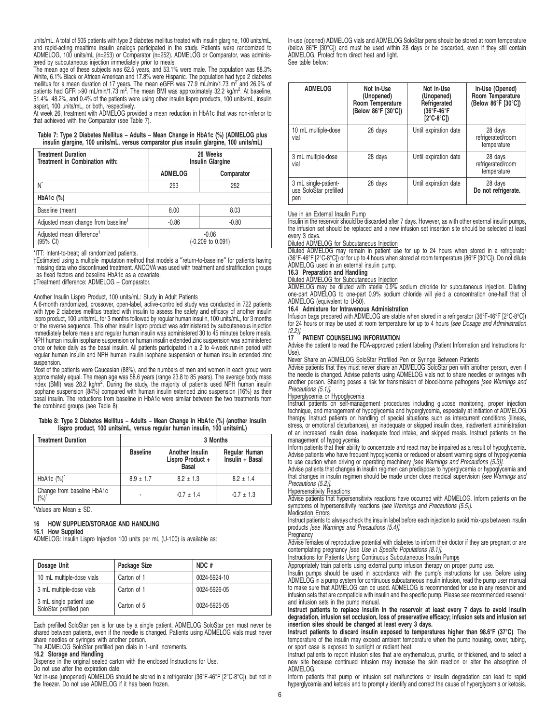units/mL. A total of 505 patients with type 2 diabetes mellitus treated with insulin glargine, 100 units/mL, and rapid-acting mealtime insulin analogs participated in the study. Patients were randomized to ADMELOG, 100 units/mL (n=253) or Comparator (n=252). ADMELOG or Comparator, was administered by subcutaneous injection immediately prior to meals.

The mean age of these subjects was 62.5 years, and 53.1% were male. The population was 88.3% White, 6.1% Black or African American and 17.8% were Hispanic. The population had type 2 diabetes mellitus for a mean duration of 17 years. The mean eGFR was 77.9 mL/min/1.73 m<sup>2′</sup>and 26.9% of<br>patients had GFR >90 mL/min/1.73 m<sup>2</sup>. The mean BMI was approximately 32.2 kg/m<sup>2</sup>. At baseline, 51.4%, 48.2%, and 0.4% of the patients were using other insulin lispro products, 100 units/mL, insulin aspart, 100 units/mL, or both, respectively.

At week 26, treatment with ADMELOG provided a mean reduction in HbA1c that was non-inferior to that achieved with the Comparator (see Table 7).

#### **Table 7: Type 2 Diabetes Mellitus – Adults – Mean Change in HbA1c (%) (ADMELOG plus insulin glargine, 100 units/mL, versus comparator plus insulin glargine, 100 units/mL)**

| <b>Treatment Duration</b><br>Treatment in Combination with: | 26 Weeks<br><b>Insulin Glargine</b> |            |  |
|-------------------------------------------------------------|-------------------------------------|------------|--|
|                                                             | <b>ADMELOG</b>                      | Comparator |  |
| N*                                                          | 253                                 | 252        |  |
| HbA <sub>1</sub> c $(\%)$                                   |                                     |            |  |
| Baseline (mean)                                             | 8.00                                | 8.03       |  |
| Adjusted mean change from baseline <sup>†</sup>             | $-0.86$                             | $-0.80$    |  |
| Adjusted mean difference <sup>#</sup><br>(95% CI)           | $-0.06$<br>(-0.209 to 0.091)        |            |  |

\*ITT: Intent-to-treat; all randomized patients.

†Estimated using a multiple imputation method that models a ″return-to-baseline″ for patients having missing data who discontinued treatment. ANCOVA was used with treatment and stratification groups as fixed factors and baseline HbA1c as a covariate.

‡Treatment difference: ADMELOG – Comparator.

#### Another Insulin Lispro Product, 100 units/mL: Study in Adult Patients

A 6-month randomized, crossover, open-label, active-controlled study was conducted in 722 patients with type 2 diabetes mellitus treated with insulin to assess the safety and efficacy of another insulin lispro product, 100 units/mL, for 3 months followed by regular human insulin, 100 units/mL, for 3 months or the reverse sequence. This other insulin lispro product was administered by subcutaneous injection immediately before meals and regular human insulin was administered 30 to 45 minutes before meals. NPH human insulin isophane suspension or human insulin extended zinc suspension was administered once or twice daily as the basal insulin. All patients participated in a 2 to 4-week run-in period with regular human insulin and NPH human insulin isophane suspension or human insulin extended zinc suspension.

Most of the patients were Caucasian (88%), and the numbers of men and women in each group were approximately equal. The mean age was 58.6 years (range 23.8 to 85 years). The average body mass index (BMI) was 28.2 kg/m<sup>2</sup>. During the study, the majority of patients used NPH human insulin isophane suspension (84%) compared with human insulin extended zinc suspension (16%) as their basal insulin. The reductions from baseline in HbA1c were similar between the two treatments from the combined groups (see Table 8).

#### **Table 8: Type 2 Diabetes Mellitus – Adults – Mean Change in HbA1c (%) (another insulin lispro product, 100 units/mL, versus regular human insulin, 100 units/mL)**

| <b>Treatment Duration</b>                   |                 | 3 Months                                            |                                  |  |
|---------------------------------------------|-----------------|-----------------------------------------------------|----------------------------------|--|
|                                             | <b>Baseline</b> | Another Insulin<br>Lispro Product +<br><b>Basal</b> | Regular Human<br>Insulin + Basal |  |
| HbA1c $(\%)^*$                              | $8.9 \pm 1.7$   | $8.2 \pm 1.3$                                       | $8.2 \pm 1.4$                    |  |
| Change from baseline HbA1c<br>$\frac{1}{2}$ |                 | $-0.7 \pm 1.4$                                      | $-0.7 \pm 1.3$                   |  |

\*Values are Mean ± SD.

#### **16 HOW SUPPLIED/STORAGE AND HANDLING**

#### **16.1 How Supplied**

ADMELOG: Insulin Lispro Injection 100 units per mL (U-100) is available as:

| Dosage Unit                                       | Package Size | NDC#         |
|---------------------------------------------------|--------------|--------------|
| 10 mL multiple-dose vials                         | Carton of 1  | 0024-5924-10 |
| 3 mL multiple-dose vials                          | Carton of 1  | 0024-5926-05 |
| 3 mL single patient use<br>SoloStar prefilled pen | Carton of 5  | 0024-5925-05 |

Each prefilled SoloStar pen is for use by a single patient. ADMELOG SoloStar pen must never be shared between patients, even if the needle is changed. Patients using ADMELOG vials must never share needles or syringes with another person.

The ADMELOG SoloStar prefilled pen dials in 1-unit increments.

**16.2 Storage and Handling**

Dispense in the original sealed carton with the enclosed Instructions for Use.

Do not use after the expiration date.

Not in-use (unopened) ADMELOG should be stored in a refrigerator (36°F-46°F [2°C-8°C]), but not in the freezer. Do not use ADMELOG if it has been frozen.

In-use (opened) ADMELOG vials and ADMELOG SoloStar pens should be stored at room temperature (below 86°F [30°C]) and must be used within 28 days or be discarded, even if they still contain ADMELOG. Protect from direct heat and light. See table below:

| <b>ADMELOG</b>                                        | Not In-Use<br>(Unopened)<br>Room Temperature<br>(Below $86^{\circ}$ F [30 $^{\circ}$ C]) | Not In-Use<br>(Unopened)<br>Refrigerated<br>(36°F-46°F<br>[2°C-8°C]) | In-Use (Opened)<br>Room Temperature<br>(Below 86°F [30°C]) |
|-------------------------------------------------------|------------------------------------------------------------------------------------------|----------------------------------------------------------------------|------------------------------------------------------------|
| 10 mL multiple-dose<br>vial                           | 28 days                                                                                  | Until expiration date                                                | 28 days<br>refrigerated/room<br>temperature                |
| 3 mL multiple-dose<br>vial                            | 28 days                                                                                  | Until expiration date                                                | 28 days<br>refrigerated/room<br>temperature                |
| 3 mL single-patient-<br>use SoloStar prefilled<br>pen | 28 days                                                                                  | Until expiration date                                                | 28 days<br>Do not refrigerate.                             |

# Use in an External Insulin Pump

Insulin in the reservoir should be discarded after 7 days. However, as with other external insulin pumps, the infusion set should be replaced and a new infusion set insertion site should be selected at least every 3 days.

Diluted ADMELOG for Subcutaneous Injection

Diluted ADMELOG may remain in patient use for up to 24 hours when stored in a refrigerator (36°F-46°F [2°C-8°C]) or for up to 4 hours when stored at room temperature (86°F [30°C]). Do not dilute ADMELOG used in an external insulin pump.

#### **16.3 Preparation and Handling**

Diluted ADMELOG for Subcutaneous Injection

ADMELOG may be diluted with sterile 0.9% sodium chloride for subcutaneous injection. Diluting one-part ADMELOG to one-part 0.9% sodium chloride will yield a concentration one-half that of ADMELOG (equivalent to U-50).

#### **16.4 Admixture for Intravenous Administration**

Infusion bags prepared with ADMELOG are stable when stored in a refrigerator (36°F-46°F [2°C-8°C]) for 24 hours or may be used at room temperature for up to 4 hours *[see Dosage and Administration*]

#### $(2.2)$ ]. **PATIENT COUNSELING INFORMATION**

Advise the patient to read the FDA-approved patient labeling (Patient Information and Instructions for Use)

Never Share an ADMELOG SoloStar Prefilled Pen or Syringe Between Patients Advise patients that they must never share an ADMELOG SoloStar pen with another person, even if the needle is changed. Advise patients using ADMELOG vials not to share needles or syringes with<br>another person. Sharing poses a risk for transmission of blood-borne pathogens *[see Warnings and* Precautions (5.1)].

Hyperglycemia or Hypoglycemia Instruct patients on self-management procedures including glucose monitoring, proper injection technique, and management of hypoglycemia and hyperglycemia, especially at initiation of ADMELOG therapy. Instruct patients on handling of special situations such as intercurrent conditions (illness, stress, or emotional disturbances), an inadequate or skipped insulin dose, inadvertent administration of an increased insulin dose, inadequate food intake, and skipped meals. Instruct patients on the management of hypoglycemia.

Inform patients that their ability to concentrate and react may be impaired as a result of hypoglycemia. Advise patients who have frequent hypoglycemia or reduced or absent warning signs of hypoglycemia to use caution when driving or operating machinery [see Warnings and Precautions (5.3)]

Advise patients that changes in insulin regimen can predispose to hyperglycemia or hypoglycemia and that changes in insulin regimen should be made under close medical supervision [see Warnings and Precautions (5.2)].

#### Hypersensitivity Reactions

Advise patients that hypersensitivity reactions have occurred with ADMELOG. Inform patients on the symptoms of hypersensitivity reactions [see Warnings and Precautions (5.5)].

Medication Errors Instruct patients to always check the insulin label before each injection to avoid mix-ups between insulin products [see Warnings and Precautions (5.4)].

#### **Pregnancy**

Advise females of reproductive potential with diabetes to inform their doctor if they are pregnant or are contemplating pregnancy [see Use in Specific Populations (8.1)].

# Instructions for Patients Using Continuous Subcutaneous Insulin Pumps

Appropriately train patients using external pump infusion therapy on proper pump use.

Insulin pumps should be used in accordance with the pump's instructions for use. Before using ADMELOG in a pump system for continuous subcutaneous insulin infusion, read the pump user manual to make sure that ADMELOG can be used. ADMELOG is recommended for use in any reservoir and infusion sets that are compatible with insulin and the specific pump. Please see recommended reservoir and infusion sets in the pump manual.

#### **Instruct patients to replace insulin in the reservoir at least every 7 days to avoid insulin degradation, infusion set occlusion, loss of preservative efficacy; infusion sets and infusion set insertion sites should be changed at least every 3 days.**

**Instruct patients to discard insulin exposed to temperatures higher than 98.6°F (37°C)**. The temperature of the insulin may exceed ambient temperature when the pump housing, cover, tubing, or sport case is exposed to sunlight or radiant heat.

Instruct patients to report infusion sites that are erythematous, pruritic, or thickened, and to select a new site because continued infusion may increase the skin reaction or alter the absorption of ADMELOG.

Inform patients that pump or infusion set malfunctions or insulin degradation can lead to rapid hyperglycemia and ketosis and to promptly identify and correct the cause of hyperglycemia or ketosis.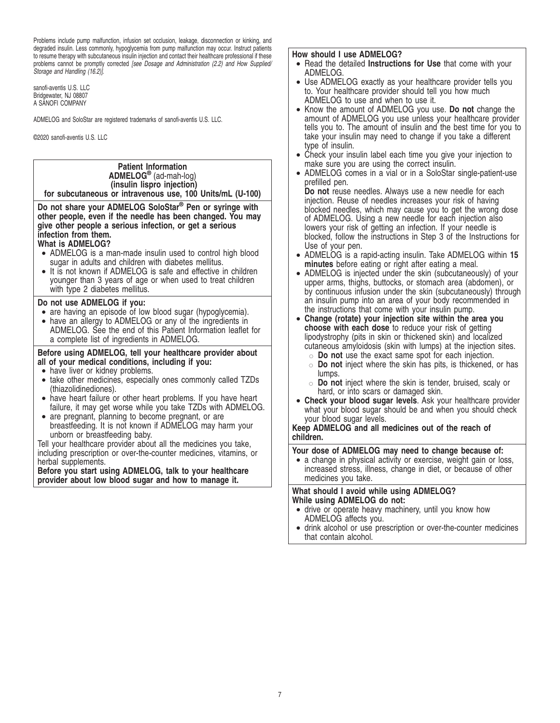Problems include pump malfunction, infusion set occlusion, leakage, disconnection or kinking, and degraded insulin. Less commonly, hypoglycemia from pump malfunction may occur. Instruct patients to resume therapy with subcutaneous insulin injection and contact their healthcare professional if these problems cannot be promptly corrected [see Dosage and Administration (2.2) and How Supplied/ Storage and Handling (16.2)].

sanofi-aventis U.S. LLC Bridgewater, NJ 08807 A SANOFI COMPANY

ADMELOG and SoloStar are registered trademarks of sanofi-aventis U.S. LLC.

©2020 sanofi-aventis U.S. LLC

**Patient Information ADMELOG®** (ad-mah-log) **(insulin lispro injection) for subcutaneous or intravenous use, 100 Units/mL (U-100)**

**Do not share your ADMELOG SoloStar® Pen or syringe with other people, even if the needle has been changed. You may give other people a serious infection, or get a serious infection from them.**

# **What is ADMELOG?**

- ADMELOG is a man-made insulin used to control high blood sugar in adults and children with diabetes mellitus.
- It is not known if ADMELOG is safe and effective in children younger than 3 years of age or when used to treat children with type 2 diabetes mellitus.

# **Do not use ADMELOG if you:**

- are having an episode of low blood sugar (hypoglycemia).
- have an allergy to ADMELOG or any of the ingredients in ADMELOG. See the end of this Patient Information leaflet for a complete list of ingredients in ADMELOG.

# **Before using ADMELOG, tell your healthcare provider about all of your medical conditions, including if you:**

- have liver or kidney problems.
- take other medicines, especially ones commonly called TZDs (thiazolidinediones).
- have heart failure or other heart problems. If you have heart failure, it may get worse while you take TZDs with ADMELOG.
- are pregnant, planning to become pregnant, or are breastfeeding. It is not known if ADMELOG may harm your unborn or breastfeeding baby.

Tell your healthcare provider about all the medicines you take, including prescription or over-the-counter medicines, vitamins, or herbal supplements.

**Before you start using ADMELOG, talk to your healthcare provider about low blood sugar and how to manage it.**

# **How should I use ADMELOG?**

- Read the detailed **Instructions for Use** that come with your ADMELOG.
- Use ADMELOG exactly as your healthcare provider tells you to. Your healthcare provider should tell you how much ADMELOG to use and when to use it.
- Know the amount of ADMELOG you use. **Do not** change the amount of ADMELOG you use unless your healthcare provider tells you to. The amount of insulin and the best time for you to take your insulin may need to change if you take a different type of insulin.
- Check your insulin label each time you give your injection to make sure you are using the correct insulin.
- ADMELOG comes in a vial or in a SoloStar single-patient-use prefilled pen.

**Do not** reuse needles. Always use a new needle for each injection. Reuse of needles increases your risk of having blocked needles, which may cause you to get the wrong dose of ADMELOG. Using a new needle for each injection also lowers your risk of getting an infection. If your needle is blocked, follow the instructions in Step 3 of the Instructions for Use of your pen.

- ADMELOG is a rapid-acting insulin. Take ADMELOG within **15 minutes** before eating or right after eating a meal.
- ADMELOG is injected under the skin (subcutaneously) of your upper arms, thighs, buttocks, or stomach area (abdomen), or by continuous infusion under the skin (subcutaneously) through an insulin pump into an area of your body recommended in the instructions that come with your insulin pump.
- **Change (rotate) your injection site within the area you choose with each dose** to reduce your risk of getting lipodystrophy (pits in skin or thickened skin) and localized cutaneous amyloidosis (skin with lumps) at the injection sites.
	- $\circ$  **Do not** use the exact same spot for each injection.
	- " **Do not** inject where the skin has pits, is thickened, or has lumps.
	- " **Do not** inject where the skin is tender, bruised, scaly or hard, or into scars or damaged skin.
- **Check your blood sugar levels**. Ask your healthcare provider what your blood sugar should be and when you should check your blood sugar levels.

**Keep ADMELOG and all medicines out of the reach of children.**

# **Your dose of ADMELOG may need to change because of:**

• a change in physical activity or exercise, weight gain or loss, increased stress, illness, change in diet, or because of other medicines you take.

# **What should I avoid while using ADMELOG? While using ADMELOG do not:**

- drive or operate heavy machinery, until you know how ADMELOG affects you.
- drink alcohol or use prescription or over-the-counter medicines that contain alcohol.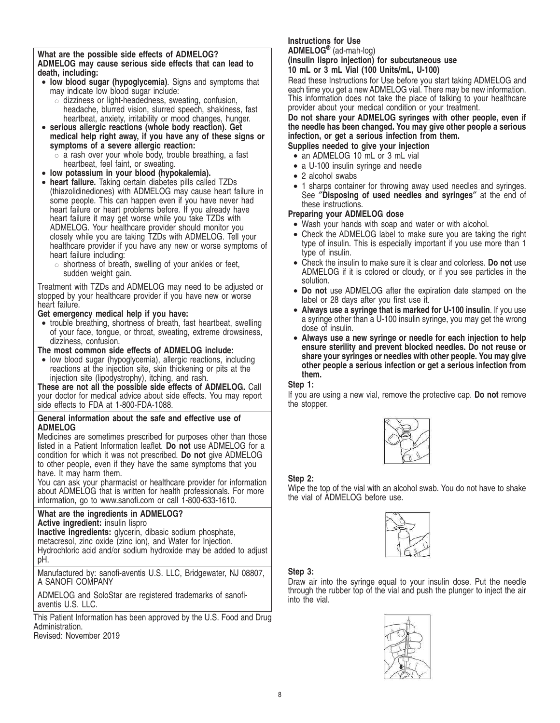**What are the possible side effects of ADMELOG? ADMELOG may cause serious side effects that can lead to death, including:**

- **low blood sugar (hypoglycemia)**. Signs and symptoms that may indicate low blood sugar include:
	- $\circ$  dizziness or light-headedness, sweating, confusion, headache, blurred vision, slurred speech, shakiness, fast heartbeat, anxiety, irritability or mood changes, hunger.
- **serious allergic reactions (whole body reaction). Get medical help right away, if you have any of these signs or symptoms of a severe allergic reaction:**
	- $\circ$  a rash over your whole body, trouble breathing, a fast heartbeat, feel faint, or sweating.
- **low potassium in your blood (hypokalemia).**
- **heart failure.** Taking certain diabetes pills called TZDs (thiazolidinediones) with ADMELOG may cause heart failure in some people. This can happen even if you have never had heart failure or heart problems before. If you already have heart failure it may get worse while you take TZDs with ADMELOG. Your healthcare provider should monitor you closely while you are taking TZDs with ADMELOG. Tell your healthcare provider if you have any new or worse symptoms of heart failure including:
	- $\circ$  shortness of breath, swelling of your ankles or feet, sudden weight gain.

Treatment with TZDs and ADMELOG may need to be adjusted or stopped by your healthcare provider if you have new or worse heart failure.

# **Get emergency medical help if you have:**

• trouble breathing, shortness of breath, fast heartbeat, swelling of your face, tongue, or throat, sweating, extreme drowsiness, dizziness, confusion.

# **The most common side effects of ADMELOG include:**

• low blood sugar (hypoglycemia), allergic reactions, including reactions at the injection site, skin thickening or pits at the injection site (lipodystrophy), itching, and rash.

**These are not all the possible side effects of ADMELOG.** Call your doctor for medical advice about side effects. You may report side effects to FDA at 1-800-FDA-1088.

# **General information about the safe and effective use of ADMELOG**

Medicines are sometimes prescribed for purposes other than those listed in a Patient Information leaflet. **Do not** use ADMELOG for a condition for which it was not prescribed. **Do not** give ADMELOG to other people, even if they have the same symptoms that you have. It may harm them.

You can ask your pharmacist or healthcare provider for information about ADMELOG that is written for health professionals. For more information, go to www.sanofi.com or call 1-800-633-1610.

# **What are the ingredients in ADMELOG?**

**Active ingredient:** insulin lispro **Inactive ingredients:** glycerin, dibasic sodium phosphate,

metacresol, zinc oxide (zinc ion), and Water for Injection.

Hydrochloric acid and/or sodium hydroxide may be added to adjust pH.

Manufactured by: sanofi-aventis U.S. LLC, Bridgewater, NJ 08807, A SANOFI COMPANY

ADMELOG and SoloStar are registered trademarks of sanofiaventis U.S. LLC.

This Patient Information has been approved by the U.S. Food and Drug Administration.

Revised: November 2019

# **Instructions for Use**

**ADMELOG®** (ad-mah-log)

**(insulin lispro injection) for subcutaneous use 10 mL or 3 mL Vial (100 Units/mL, U-100)**

Read these Instructions for Use before you start taking ADMELOG and each time you get a new ADMELOG vial. There may be new information. This information does not take the place of talking to your healthcare provider about your medical condition or your treatment.

**Do not share your ADMELOG syringes with other people, even if the needle has been changed. You may give other people a serious infection, or get a serious infection from them.**

# **Supplies needed to give your injection**

- an ADMELOG 10 mL or 3 mL vial
- a U-100 insulin syringe and needle
- 2 alcohol swabs
- 1 sharps container for throwing away used needles and syringes. See ″**Disposing of used needles and syringes**″ at the end of these instructions.

# **Preparing your ADMELOG dose**

- Wash your hands with soap and water or with alcohol.
- Check the ADMELOG label to make sure you are taking the right type of insulin. This is especially important if you use more than 1 type of insulin.
- Check the insulin to make sure it is clear and colorless. **Do not** use ADMELOG if it is colored or cloudy, or if you see particles in the solution.
- **Do not** use ADMELOG after the expiration date stamped on the label or 28 days after you first use it.
- **Always use a syringe that is marked for U-100 insulin**. If you use a syringe other than a U-100 insulin syringe, you may get the wrong dose of insulin.
- **Always use a new syringe or needle for each injection to help ensure sterility and prevent blocked needles. Do not reuse or share your syringes or needles with other people. You may give other people a serious infection or get a serious infection from them.**

# **Step 1:**

If you are using a new vial, remove the protective cap. **Do not** remove the stopper.



# **Step 2:**

Wipe the top of the vial with an alcohol swab. You do not have to shake the vial of ADMELOG before use.



# **Step 3:**

Draw air into the syringe equal to your insulin dose. Put the needle through the rubber top of the vial and push the plunger to inject the air into the vial.

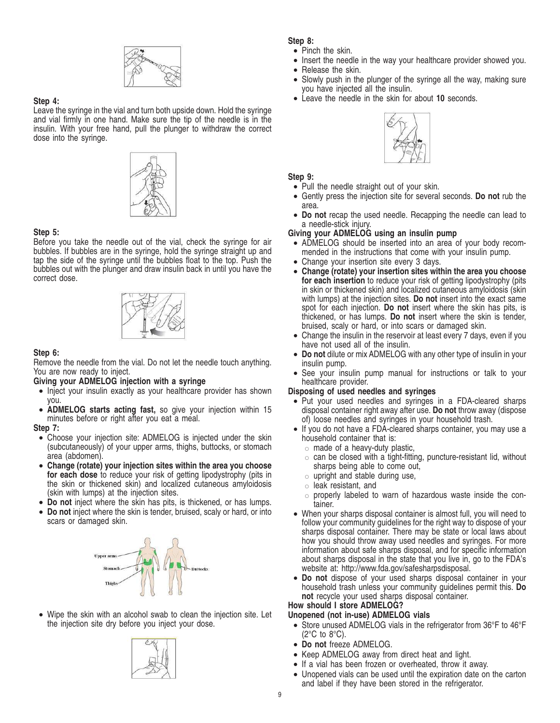

# **Step 4:**

Leave the syringe in the vial and turn both upside down. Hold the syringe and vial firmly in one hand. Make sure the tip of the needle is in the insulin. With your free hand, pull the plunger to withdraw the correct dose into the syringe.



# **Step 5:**

Before you take the needle out of the vial, check the syringe for air bubbles. If bubbles are in the syringe, hold the syringe straight up and tap the side of the syringe until the bubbles float to the top. Push the bubbles out with the plunger and draw insulin back in until you have the correct dose.



# **Step 6:**

Remove the needle from the vial. Do not let the needle touch anything. You are now ready to inject.

# **Giving your ADMELOG injection with a syringe**

- Inject your insulin exactly as your healthcare provider has shown you.
- **ADMELOG starts acting fast,** so give your injection within 15 minutes before or right after you eat a meal.

### **Step 7:**

- Choose your injection site: ADMELOG is injected under the skin (subcutaneously) of your upper arms, thighs, buttocks, or stomach area (abdomen).
- **Change (rotate) your injection sites within the area you choose for each dose** to reduce your risk of getting lipodystrophy (pits in the skin or thickened skin) and localized cutaneous amyloidosis (skin with lumps) at the injection sites.
- **Do not** inject where the skin has pits, is thickened, or has lumps.
- **Do not** inject where the skin is tender, bruised, scaly or hard, or into scars or damaged skin.



• Wipe the skin with an alcohol swab to clean the injection site. Let the injection site dry before you inject your dose.



**Step 8:**

- Pinch the skin.
- Insert the needle in the way your healthcare provider showed you.
- Release the skin.
- Slowly push in the plunger of the syringe all the way, making sure you have injected all the insulin.
- Leave the needle in the skin for about **10** seconds.



# **Step 9:**

- Pull the needle straight out of your skin.
- Gently press the injection site for several seconds. **Do not** rub the area.
- **Do not** recap the used needle. Recapping the needle can lead to a needle-stick injury.

# **Giving your ADMELOG using an insulin pump**

- ADMELOG should be inserted into an area of your body recommended in the instructions that come with your insulin pump.
- Change your insertion site every 3 days.
- **Change (rotate) your insertion sites within the area you choose for each insertion** to reduce your risk of getting lipodystrophy (pits in skin or thickened skin) and localized cutaneous amyloidosis (skin with lumps) at the injection sites. **Do not** insert into the exact same spot for each injection. **Do not** insert where the skin has pits, is thickened, or has lumps. **Do not** insert where the skin is tender, bruised, scaly or hard, or into scars or damaged skin.
- Change the insulin in the reservoir at least every 7 days, even if you have not used all of the insulin.
- **Do not** dilute or mix ADMELOG with any other type of insulin in your insulin pump.
- See your insulin pump manual for instructions or talk to your healthcare provider.

# **Disposing of used needles and syringes**

- Put your used needles and syringes in a FDA-cleared sharps disposal container right away after use. **Do not** throw away (dispose of) loose needles and syringes in your household trash.
- If you do not have a FDA-cleared sharps container, you may use a household container that is:
	- $\circ$  made of a heavy-duty plastic,
	- $\circ$  can be closed with a tight-fitting, puncture-resistant lid, without sharps being able to come out,
	- $\circ$  upright and stable during use,
	- $\circ$  leak resistant, and
	- $\circ$  properly labeled to warn of hazardous waste inside the container.
- When your sharps disposal container is almost full, you will need to follow your community guidelines for the right way to dispose of your sharps disposal container. There may be state or local laws about how you should throw away used needles and syringes. For more information about safe sharps disposal, and for specific information about sharps disposal in the state that you live in, go to the FDA's website at: http://www.fda.gov/safesharpsdisposal.
- **Do not** dispose of your used sharps disposal container in your household trash unless your community guidelines permit this. **Do not** recycle your used sharps disposal container.

# **How should I store ADMELOG?**

- **Unopened (not in-use) ADMELOG vials**
	- Store unused ADMELOG vials in the refrigerator from 36°F to 46°F (2°C to 8°C).
	- **Do not** freeze ADMELOG.
	- Keep ADMELOG away from direct heat and light.
	- If a vial has been frozen or overheated, throw it away.
	- Unopened vials can be used until the expiration date on the carton and label if they have been stored in the refrigerator.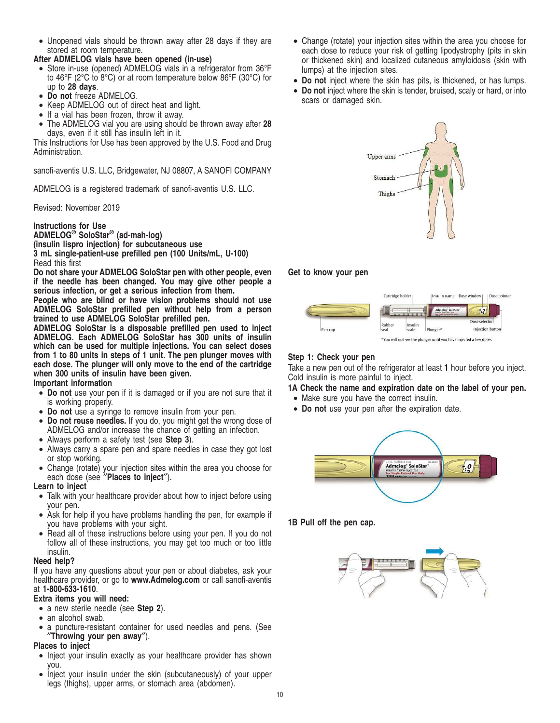• Unopened vials should be thrown away after 28 days if they are stored at room temperature.

# **After ADMELOG vials have been opened (in-use)**

- Store in-use (opened) ADMELOG vials in a refrigerator from 36°F to 46°F (2°C to 8°C) or at room temperature below 86°F (30°C) for up to **28 days**.
- **Do not** freeze ADMELOG.
- Keep ADMELOG out of direct heat and light.
- If a vial has been frozen, throw it away.
- The ADMELOG vial you are using should be thrown away after **28** days, even if it still has insulin left in it.

This Instructions for Use has been approved by the U.S. Food and Drug Administration.

sanofi-aventis U.S. LLC, Bridgewater, NJ 08807, A SANOFI COMPANY

ADMELOG is a registered trademark of sanofi-aventis U.S. LLC.

# Revised: November 2019

**Instructions for Use ADMELOG® SoloStar® (ad-mah-log) (insulin lispro injection) for subcutaneous use 3 mL single-patient-use prefilled pen (100 Units/mL, U-100)** Read this first

**Do not share your ADMELOG SoloStar pen with other people, even if the needle has been changed. You may give other people a serious infection, or get a serious infection from them.**

**People who are blind or have vision problems should not use ADMELOG SoloStar prefilled pen without help from a person trained to use ADMELOG SoloStar prefilled pen.**

**ADMELOG SoloStar is a disposable prefilled pen used to inject ADMELOG. Each ADMELOG SoloStar has 300 units of insulin which can be used for multiple injections. You can select doses from 1 to 80 units in steps of 1 unit. The pen plunger moves with each dose. The plunger will only move to the end of the cartridge when 300 units of insulin have been given.**

# **Important information**

- **Do not** use your pen if it is damaged or if you are not sure that it is working properly.
- **Do not** use a syringe to remove insulin from your pen.
- **Do not reuse needles.** If you do, you might get the wrong dose of ADMELOG and/or increase the chance of getting an infection.
- Always perform a safety test (see **Step 3**).
- Always carry a spare pen and spare needles in case they got lost or stop working.
- Change (rotate) your injection sites within the area you choose for each dose (see ″**Places to inject**″).

# **Learn to inject**

- Talk with your healthcare provider about how to inject before using your pen.
- Ask for help if you have problems handling the pen, for example if you have problems with your sight.
- Read all of these instructions before using your pen. If you do not follow all of these instructions, you may get too much or too little insulin.

# **Need help?**

If you have any questions about your pen or about diabetes, ask your healthcare provider, or go to **www.Admelog.com** or call sanofi-aventis at **1-800-633-1610**.

# **Extra items you will need:**

- a new sterile needle (see **Step 2**).
- an alcohol swab.
- a puncture-resistant container for used needles and pens. (See ″**Throwing your pen away**″).

# **Places to inject**

- Inject your insulin exactly as your healthcare provider has shown you.
- Inject your insulin under the skin (subcutaneously) of your upper legs (thighs), upper arms, or stomach area (abdomen).
- Change (rotate) your injection sites within the area you choose for each dose to reduce your risk of getting lipodystrophy (pits in skin or thickened skin) and localized cutaneous amyloidosis (skin with lumps) at the injection sites.
- **Do not** inject where the skin has pits, is thickened, or has lumps.
- **Do not** inject where the skin is tender, bruised, scaly or hard, or into scars or damaged skin.



# **Get to know your pen**



# **Step 1: Check your pen**

Take a new pen out of the refrigerator at least **1** hour before you inject. Cold insulin is more painful to inject.

- **1A Check the name and expiration date on the label of your pen.**
	- Make sure you have the correct insulin.
	- **Do not** use your pen after the expiration date.



**1B Pull off the pen cap.**

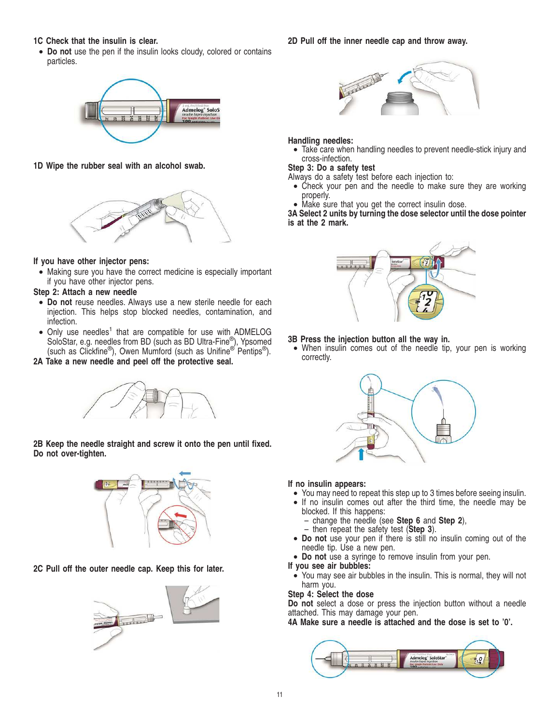# **1C Check that the insulin is clear.**

• **Do not** use the pen if the insulin looks cloudy, colored or contains particles.



**1D Wipe the rubber seal with an alcohol swab.**



# **If you have other injector pens:**

• Making sure you have the correct medicine is especially important if you have other injector pens.

# **Step 2: Attach a new needle**

- **Do not** reuse needles. Always use a new sterile needle for each injection. This helps stop blocked needles, contamination, and infection.
- Only use needles<sup>1</sup> that are compatible for use with ADMELOG SoloStar, e.g. needles from BD (such as BD Ultra-Fine®), Ypsomed (such as Clickfine®), Owen Mumford (such as Unifine<sup>® pentips®).</sup>

**2A Take a new needle and peel off the protective seal.**



**2B Keep the needle straight and screw it onto the pen until fixed. Do not over-tighten.**



**2C Pull off the outer needle cap. Keep this for later.**



# **2D Pull off the inner needle cap and throw away.**



# **Handling needles:**

• Take care when handling needles to prevent needle-stick injury and cross-infection.

# **Step 3: Do a safety test**

- Always do a safety test before each injection to:
- Check your pen and the needle to make sure they are working properly.
- Make sure that you get the correct insulin dose.

# **3A Select 2 units by turning the dose selector until the dose pointer is at the 2 mark.**



- **3B Press the injection button all the way in.**
- When insulin comes out of the needle tip, your pen is working correctly.



### **If no insulin appears:**

- You may need to repeat this step up to 3 times before seeing insulin.
- If no insulin comes out after the third time, the needle may be blocked. If this happens:
	- change the needle (see **Step 6** and **Step 2**),
	- then repeat the safety test (**Step 3**).
- **Do not** use your pen if there is still no insulin coming out of the needle tip. Use a new pen.
- **Do not** use a syringe to remove insulin from your pen.

# **If you see air bubbles:**

• You may see air bubbles in the insulin. This is normal, they will not harm you.

# **Step 4: Select the dose**

**Do not** select a dose or press the injection button without a needle attached. This may damage your pen.

**4A Make sure a needle is attached and the dose is set to '0'.**

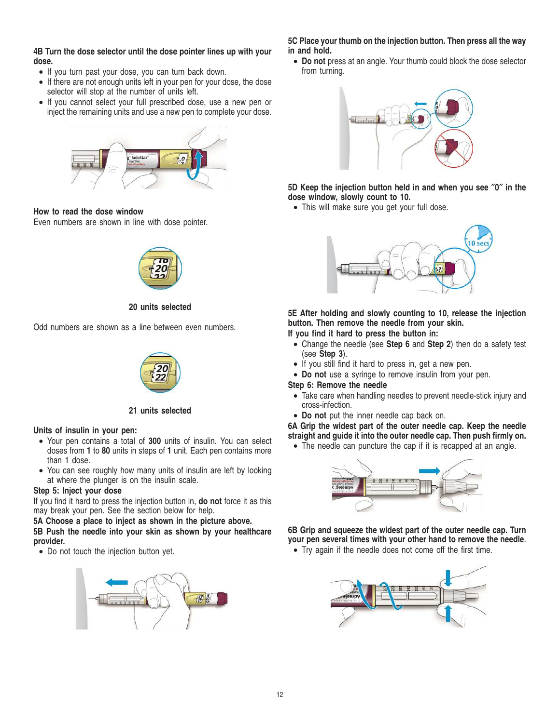**4B Turn the dose selector until the dose pointer lines up with your dose.**

- If you turn past your dose, you can turn back down.
- If there are not enough units left in your pen for your dose, the dose selector will stop at the number of units left.
- If you cannot select your full prescribed dose, use a new pen or inject the remaining units and use a new pen to complete your dose.



# **How to read the dose window**

Even numbers are shown in line with dose pointer.



# **20 units selected**

Odd numbers are shown as a line between even numbers.



# **21 units selected**

### **Units of insulin in your pen:**

- Your pen contains a total of **300** units of insulin. You can select doses from **1** to **80** units in steps of **1** unit. Each pen contains more than 1 dose.
- You can see roughly how many units of insulin are left by looking at where the plunger is on the insulin scale.

# **Step 5: Inject your dose**

If you find it hard to press the injection button in, **do not** force it as this may break your pen. See the section below for help.

**5A Choose a place to inject as shown in the picture above. 5B Push the needle into your skin as shown by your healthcare provider.**

• Do not touch the injection button yet.



**5C Place your thumb on the injection button. Then press all the way in and hold.**

• **Do not** press at an angle. Your thumb could block the dose selector from turning.



**5D Keep the injection button held in and when you see** ″**0**″ **in the dose window, slowly count to 10.**

• This will make sure you get your full dose.



**5E After holding and slowly counting to 10, release the injection button. Then remove the needle from your skin.**

**If you find it hard to press the button in:**

- Change the needle (see **Step 6** and **Step 2**) then do a safety test (see **Step 3**).
- If you still find it hard to press in, get a new pen.
- **Do not** use a syringe to remove insulin from your pen.

# **Step 6: Remove the needle**

- Take care when handling needles to prevent needle-stick injury and cross-infection.
- **Do not** put the inner needle cap back on.

**6A Grip the widest part of the outer needle cap. Keep the needle straight and guide it into the outer needle cap. Then push firmly on.**

• The needle can puncture the cap if it is recapped at an angle.



**6B Grip and squeeze the widest part of the outer needle cap. Turn your pen several times with your other hand to remove the needle**. • Try again if the needle does not come off the first time.